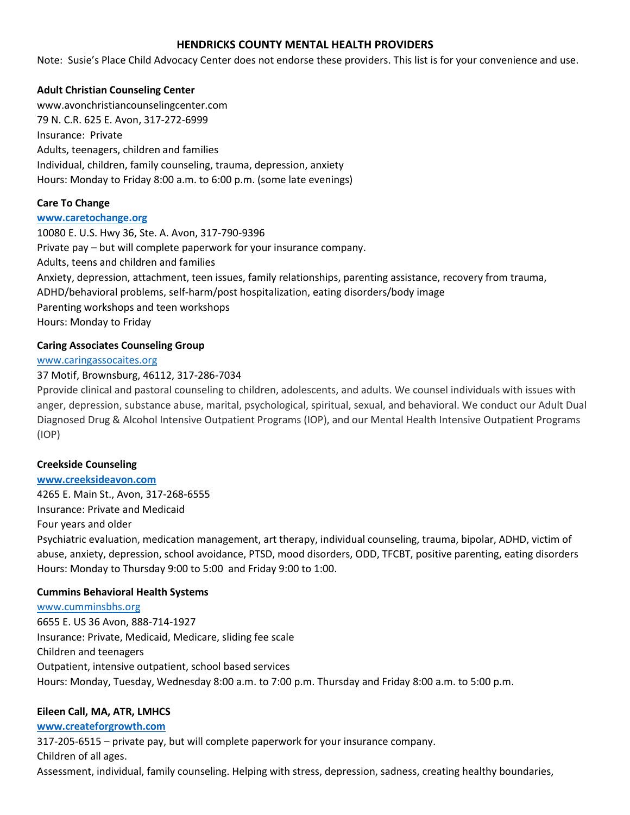# **HENDRICKS COUNTY MENTAL HEALTH PROVIDERS**

Note: Susie's Place Child Advocacy Center does not endorse these providers. This list is for your convenience and use.

## **Adult Christian Counseling Center**

www.avonchristiancounselingcenter.com 79 N. C.R. 625 E. Avon, 317-272-6999 Insurance: Private Adults, teenagers, children and families Individual, children, family counseling, trauma, depression, anxiety Hours: Monday to Friday 8:00 a.m. to 6:00 p.m. (some late evenings)

#### **Care To Change**

#### **[www.caretochange.org](http://www.caretochange.org/)**

10080 E. U.S. Hwy 36, Ste. A. Avon, 317-790-9396 Private pay – but will complete paperwork for your insurance company. Adults, teens and children and families Anxiety, depression, attachment, teen issues, family relationships, parenting assistance, recovery from trauma, ADHD/behavioral problems, self-harm/post hospitalization, eating disorders/body image Parenting workshops and teen workshops Hours: Monday to Friday

## **Caring Associates Counseling Group**

#### [www.caringassocaites.org](http://www.caringassocaites.org/)

## 37 Motif, Brownsburg, 46112, 317-286-7034

Pprovide clinical and pastoral counseling to children, adolescents, and adults. We counsel individuals with issues with anger, depression, substance abuse, marital, psychological, spiritual, sexual, and behavioral. We conduct our Adult Dual Diagnosed Drug & Alcohol Intensive Outpatient Programs (IOP), and our Mental Health Intensive Outpatient Programs (IOP)

## **Creekside Counseling**

## **[www.creeksideavon.com](http://www.creeksideavon.com/)**

4265 E. Main St., Avon, 317-268-6555

Insurance: Private and Medicaid

Four years and older

Psychiatric evaluation, medication management, art therapy, individual counseling, trauma, bipolar, ADHD, victim of abuse, anxiety, depression, school avoidance, PTSD, mood disorders, ODD, TFCBT, positive parenting, eating disorders Hours: Monday to Thursday 9:00 to 5:00 and Friday 9:00 to 1:00.

## **Cummins Behavioral Health Systems**

[www.cumminsbhs.org](http://www.cumminsbhs.org/) 6655 E. US 36 Avon, 888-714-1927 Insurance: Private, Medicaid, Medicare, sliding fee scale Children and teenagers Outpatient, intensive outpatient, school based services Hours: Monday, Tuesday, Wednesday 8:00 a.m. to 7:00 p.m. Thursday and Friday 8:00 a.m. to 5:00 p.m.

## **Eileen Call, MA, ATR, LMHCS**

## **[www.createforgrowth.com](http://www.createforgrowth.com/)**

317-205-6515 – private pay, but will complete paperwork for your insurance company. Children of all ages.

Assessment, individual, family counseling. Helping with stress, depression, sadness, creating healthy boundaries,